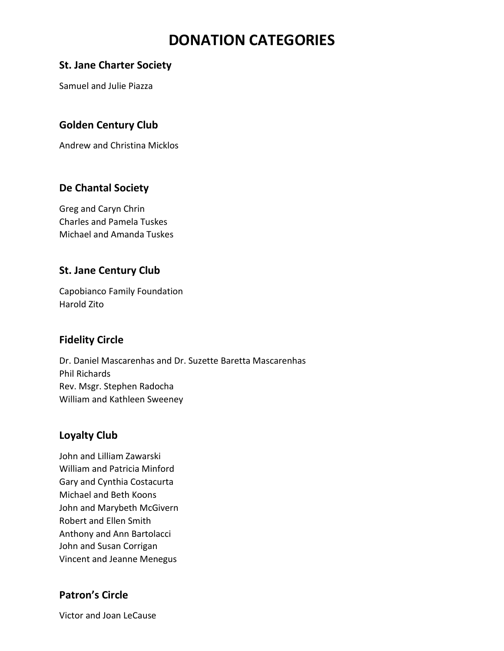# **DONATION CATEGORIES**

#### **St. Jane Charter Society**

Samuel and Julie Piazza

## **Golden Century Club**

Andrew and Christina Micklos

#### **De Chantal Society**

Greg and Caryn Chrin Charles and Pamela Tuskes Michael and Amanda Tuskes

### **St. Jane Century Club**

Capobianco Family Foundation Harold Zito

#### **Fidelity Circle**

Dr. Daniel Mascarenhas and Dr. Suzette Baretta Mascarenhas Phil Richards Rev. Msgr. Stephen Radocha William and Kathleen Sweeney

#### **Loyalty Club**

John and Lilliam Zawarski William and Patricia Minford Gary and Cynthia Costacurta Michael and Beth Koons John and Marybeth McGivern Robert and Ellen Smith Anthony and Ann Bartolacci John and Susan Corrigan Vincent and Jeanne Menegus

# **Patron's Circle**

Victor and Joan LeCause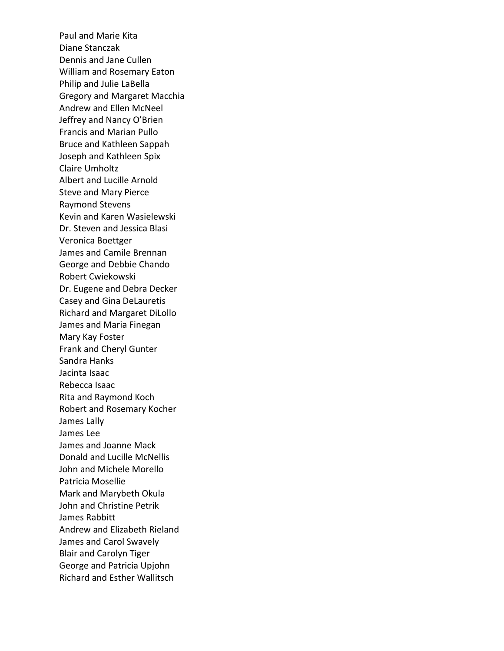Paul and Marie Kita Diane Stanczak Dennis and Jane Cullen William and Rosemary Eaton Philip and Julie LaBella Gregory and Margaret Macchia Andrew and Ellen McNeel Jeffrey and Nancy O'Brien Francis and Marian Pullo Bruce and Kathleen Sappah Joseph and Kathleen Spix Claire Umholtz Albert and Lucille Arnold Steve and Mary Pierce Raymond Stevens Kevin and Karen Wasielewski Dr. Steven and Jessica Blasi Veronica Boettger James and Camile Brennan George and Debbie Chando Robert Cwiekowski Dr. Eugene and Debra Decker Casey and Gina DeLauretis Richard and Margaret DiLollo James and Maria Finegan Mary Kay Foster Frank and Cheryl Gunter Sandra Hanks Jacinta Isaac Rebecca Isaac Rita and Raymond Koch Robert and Rosemary Kocher James Lally James Lee James and Joanne Mack Donald and Lucille McNellis John and Michele Morello Patricia Mosellie Mark and Marybeth Okula John and Christine Petrik James Rabbitt Andrew and Elizabeth Rieland James and Carol Swavely Blair and Carolyn Tiger George and Patricia Upjohn Richard and Esther Wallitsch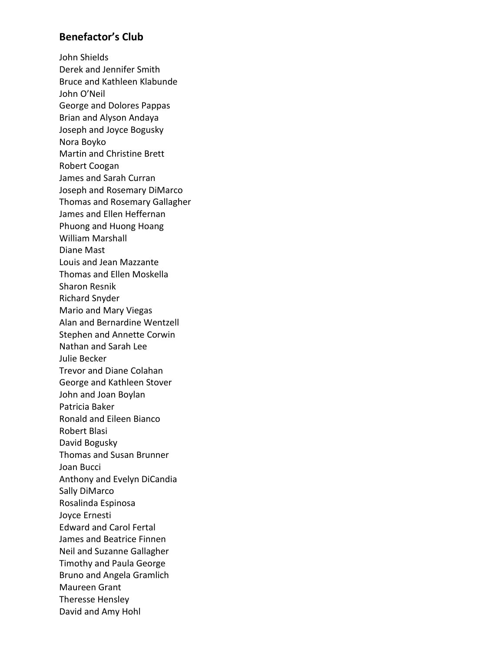#### **Benefactor's Club**

John Shields Derek and Jennifer Smith Bruce and Kathleen Klabunde John O'Neil George and Dolores Pappas Brian and Alyson Andaya Joseph and Joyce Bogusky Nora Boyko Martin and Christine Brett Robert Coogan James and Sarah Curran Joseph and Rosemary DiMarco Thomas and Rosemary Gallagher James and Ellen Heffernan Phuong and Huong Hoang William Marshall Diane Mast Louis and Jean Mazzante Thomas and Ellen Moskella Sharon Resnik Richard Snyder Mario and Mary Viegas Alan and Bernardine Wentzell Stephen and Annette Corwin Nathan and Sarah Lee Julie Becker Trevor and Diane Colahan George and Kathleen Stover John and Joan Boylan Patricia Baker Ronald and Eileen Bianco Robert Blasi David Bogusky Thomas and Susan Brunner Joan Bucci Anthony and Evelyn DiCandia Sally DiMarco Rosalinda Espinosa Joyce Ernesti Edward and Carol Fertal James and Beatrice Finnen Neil and Suzanne Gallagher Timothy and Paula George Bruno and Angela Gramlich Maureen Grant Theresse Hensley David and Amy Hohl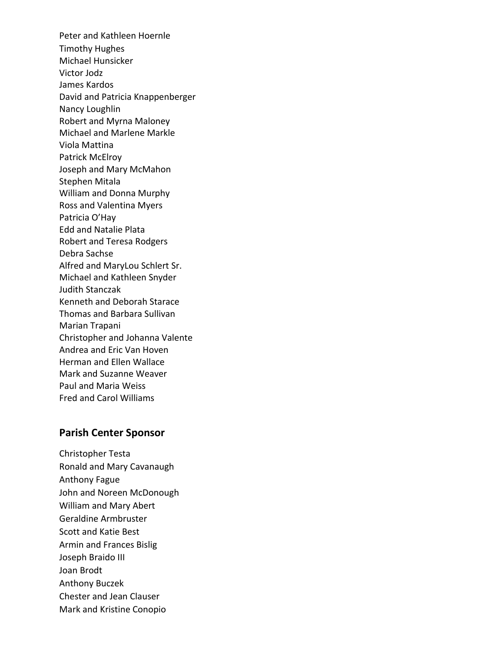Peter and Kathleen Hoernle Timothy Hughes Michael Hunsicker Victor Jodz James Kardos David and Patricia Knappenberger Nancy Loughlin Robert and Myrna Maloney Michael and Marlene Markle Viola Mattina Patrick McElroy Joseph and Mary McMahon Stephen Mitala William and Donna Murphy Ross and Valentina Myers Patricia O'Hay Edd and Natalie Plata Robert and Teresa Rodgers Debra Sachse Alfred and MaryLou Schlert Sr. Michael and Kathleen Snyder Judith Stanczak Kenneth and Deborah Starace Thomas and Barbara Sullivan Marian Trapani Christopher and Johanna Valente Andrea and Eric Van Hoven Herman and Ellen Wallace Mark and Suzanne Weaver Paul and Maria Weiss Fred and Carol Williams

#### **Parish Center Sponsor**

Christopher Testa Ronald and Mary Cavanaugh Anthony Fague John and Noreen McDonough William and Mary Abert Geraldine Armbruster Scott and Katie Best Armin and Frances Bislig Joseph Braido III Joan Brodt Anthony Buczek Chester and Jean Clauser Mark and Kristine Conopio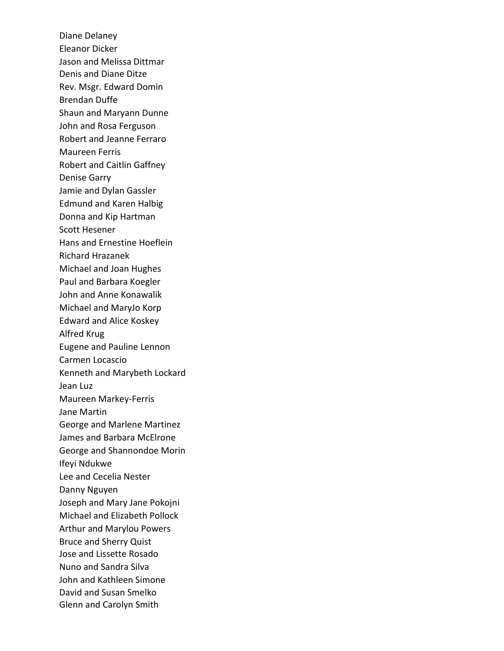Diane Delaney Eleanor Dicker Jason and Melissa Dittmar Denis and Diane Ditze Rev. Msgr. Edward Domin Brendan Duffe Shaun and Maryann Dunne John and Rosa Ferguson Robert and Jeanne Ferraro Maureen Ferris Robert and Caitlin Gaffney Denise Garry Jamie and Dylan Gassler Edmund and Karen Halbig Donna and Kip Hartman Scott Hesener Hans and Ernestine Hoeflein Richard Hrazanek Michael and Joan Hughes Paul and Barbara Koegler John and Anne Konawalik Michael and MaryJo Korp Edward and Alice Koskey Alfred Krug Eugene and Pauline Lennon Carmen Locascio Kenneth and Marybeth Lockard Jean Luz Maureen Markey-Ferris Jane Martin George and Marlene Martinez James and Barbara McElrone George and Shannondoe Morin Ifeyi Ndukwe Lee and Cecelia Nester Danny Nguyen Joseph and Mary Jane Pokojni Michael and Elizabeth Pollock Arthur and Marylou Powers Bruce and Sherry Quist Jose and Lissette Rosado Nuno and Sandra Silva John and Kathleen Simone David and Susan Smelko Glenn and Carolyn Smith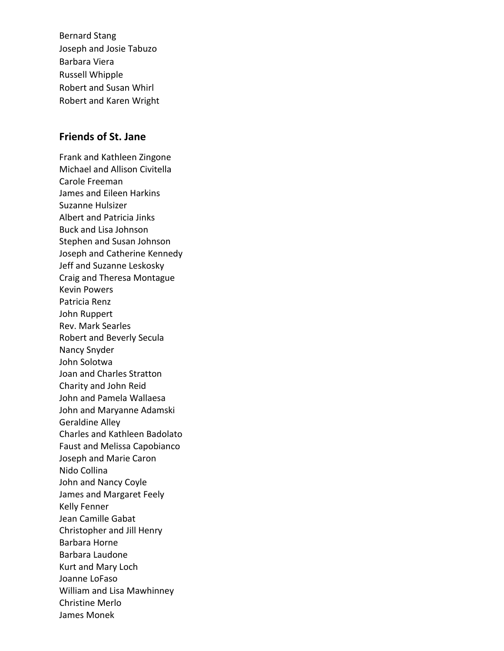Bernard Stang Joseph and Josie Tabuzo Barbara Viera Russell Whipple Robert and Susan Whirl Robert and Karen Wright

#### **Friends of St. Jane**

Frank and Kathleen Zingone Michael and Allison Civitella Carole Freeman James and Eileen Harkins Suzanne Hulsizer Albert and Patricia Jinks Buck and Lisa Johnson Stephen and Susan Johnson Joseph and Catherine Kennedy Jeff and Suzanne Leskosky Craig and Theresa Montague Kevin Powers Patricia Renz John Ruppert Rev. Mark Searles Robert and Beverly Secula Nancy Snyder John Solotwa Joan and Charles Stratton Charity and John Reid John and Pamela Wallaesa John and Maryanne Adamski Geraldine Alley Charles and Kathleen Badolato Faust and Melissa Capobianco Joseph and Marie Caron Nido Collina John and Nancy Coyle James and Margaret Feely Kelly Fenner Jean Camille Gabat Christopher and Jill Henry Barbara Horne Barbara Laudone Kurt and Mary Loch Joanne LoFaso William and Lisa Mawhinney Christine Merlo James Monek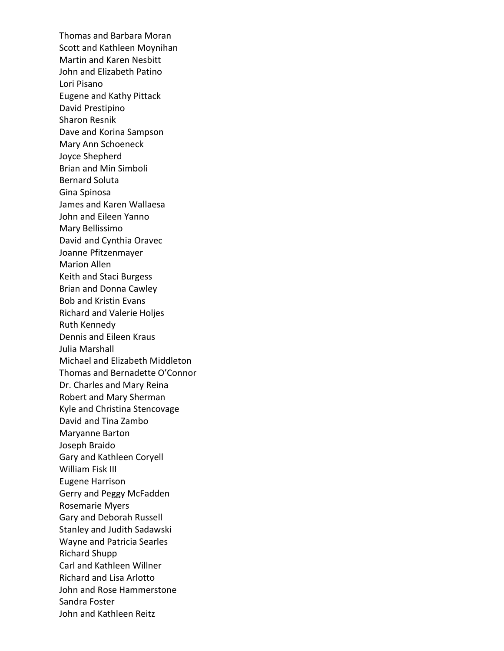Thomas and Barbara Moran Scott and Kathleen Moynihan Martin and Karen Nesbitt John and Elizabeth Patino Lori Pisano Eugene and Kathy Pittack David Prestipino Sharon Resnik Dave and Korina Sampson Mary Ann Schoeneck Joyce Shepherd Brian and Min Simboli Bernard Soluta Gina Spinosa James and Karen Wallaesa John and Eileen Yanno Mary Bellissimo David and Cynthia Oravec Joanne Pfitzenmayer Marion Allen Keith and Staci Burgess Brian and Donna Cawley Bob and Kristin Evans Richard and Valerie Holjes Ruth Kennedy Dennis and Eileen Kraus Julia Marshall Michael and Elizabeth Middleton Thomas and Bernadette O'Connor Dr. Charles and Mary Reina Robert and Mary Sherman Kyle and Christina Stencovage David and Tina Zambo Maryanne Barton Joseph Braido Gary and Kathleen Coryell William Fisk III Eugene Harrison Gerry and Peggy McFadden Rosemarie Myers Gary and Deborah Russell Stanley and Judith Sadawski Wayne and Patricia Searles Richard Shupp Carl and Kathleen Willner Richard and Lisa Arlotto John and Rose Hammerstone Sandra Foster John and Kathleen Reitz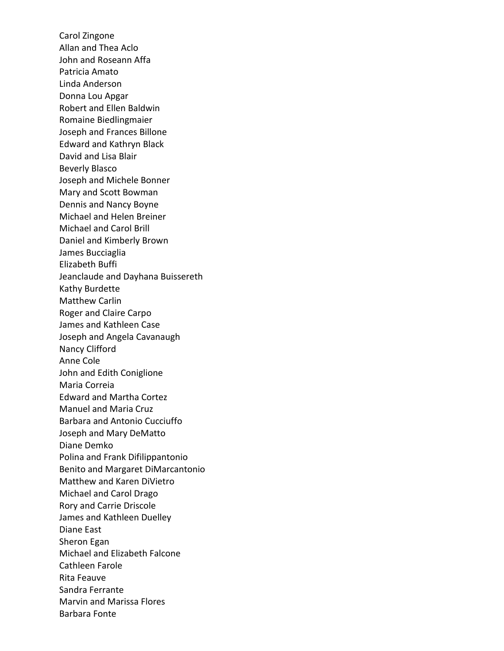Carol Zingone Allan and Thea Aclo John and Roseann Affa Patricia Amato Linda Anderson Donna Lou Apgar Robert and Ellen Baldwin Romaine Biedlingmaier Joseph and Frances Billone Edward and Kathryn Black David and Lisa Blair Beverly Blasco Joseph and Michele Bonner Mary and Scott Bowman Dennis and Nancy Boyne Michael and Helen Breiner Michael and Carol Brill Daniel and Kimberly Brown James Bucciaglia Elizabeth Buffi Jeanclaude and Dayhana Buissereth Kathy Burdette Matthew Carlin Roger and Claire Carpo James and Kathleen Case Joseph and Angela Cavanaugh Nancy Clifford Anne Cole John and Edith Coniglione Maria Correia Edward and Martha Cortez Manuel and Maria Cruz Barbara and Antonio Cucciuffo Joseph and Mary DeMatto Diane Demko Polina and Frank Difilippantonio Benito and Margaret DiMarcantonio Matthew and Karen DiVietro Michael and Carol Drago Rory and Carrie Driscole James and Kathleen Duelley Diane East Sheron Egan Michael and Elizabeth Falcone Cathleen Farole Rita Feauve Sandra Ferrante Marvin and Marissa Flores Barbara Fonte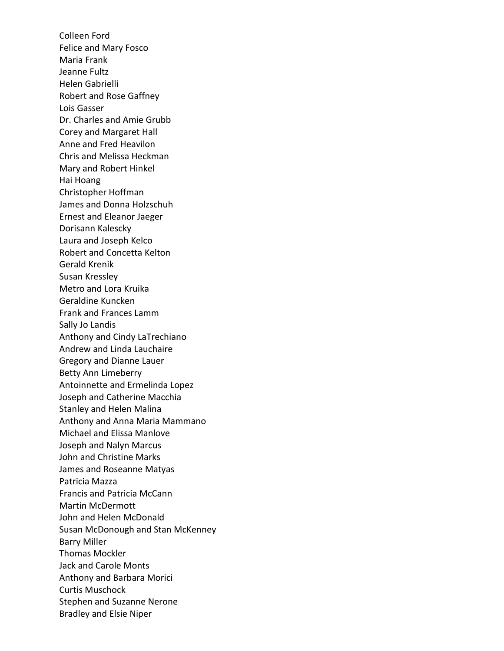Colleen Ford Felice and Mary Fosco Maria Frank Jeanne Fultz Helen Gabrielli Robert and Rose Gaffney Lois Gasser Dr. Charles and Amie Grubb Corey and Margaret Hall Anne and Fred Heavilon Chris and Melissa Heckman Mary and Robert Hinkel Hai Hoang Christopher Hoffman James and Donna Holzschuh Ernest and Eleanor Jaeger Dorisann Kalescky Laura and Joseph Kelco Robert and Concetta Kelton Gerald Krenik Susan Kressley Metro and Lora Kruika Geraldine Kuncken Frank and Frances Lamm Sally Jo Landis Anthony and Cindy LaTrechiano Andrew and Linda Lauchaire Gregory and Dianne Lauer Betty Ann Limeberry Antoinnette and Ermelinda Lopez Joseph and Catherine Macchia Stanley and Helen Malina Anthony and Anna Maria Mammano Michael and Elissa Manlove Joseph and Nalyn Marcus John and Christine Marks James and Roseanne Matyas Patricia Mazza Francis and Patricia McCann Martin McDermott John and Helen McDonald Susan McDonough and Stan McKenney Barry Miller Thomas Mockler Jack and Carole Monts Anthony and Barbara Morici Curtis Muschock Stephen and Suzanne Nerone Bradley and Elsie Niper